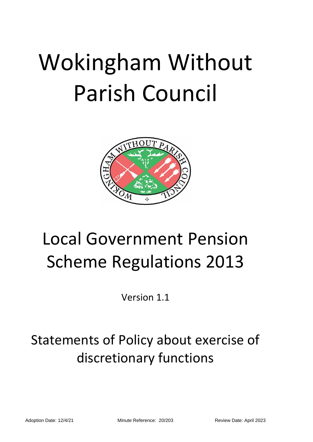# Wokingham Without Parish Council



## Local Government Pension Scheme Regulations 2013

Version 1.1

### Statements of Policy about exercise of discretionary functions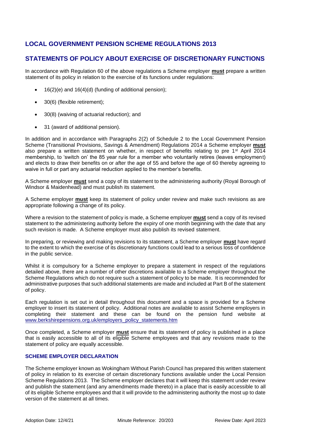#### **LOCAL GOVERNMENT PENSION SCHEME REGULATIONS 2013**

#### **STATEMENTS OF POLICY ABOUT EXERCISE OF DISCRETIONARY FUNCTIONS**

In accordance with Regulation 60 of the above regulations a Scheme employer **must** prepare a written statement of its policy in relation to the exercise of its functions under regulations:

- 16(2)(e) and 16(4)(d) (funding of additional pension);
- 30(6) (flexible retirement);
- 30(8) (waiving of actuarial reduction); and
- 31 (award of additional pension).

In addition and in accordance with Paragraphs 2(2) of Schedule 2 to the Local Government Pension Scheme (Transitional Provisions, Savings & Amendment) Regulations 2014 a Scheme employer **must** also prepare a written statement on whether, in respect of benefits relating to pre 1<sup>st</sup> April 2014 membership, to 'switch on' the 85 year rule for a member who voluntarily retires (leaves employment) and elects to draw their benefits on or after the age of 55 and before the age of 60 thereby agreeing to waive in full or part any actuarial reduction applied to the member's benefits.

A Scheme employer **must** send a copy of its statement to the administering authority (Royal Borough of Windsor & Maidenhead) and must publish its statement.

A Scheme employer **must** keep its statement of policy under review and make such revisions as are appropriate following a change of its policy.

Where a revision to the statement of policy is made, a Scheme employer **must** send a copy of its revised statement to the administering authority before the expiry of one month beginning with the date that any such revision is made. A Scheme employer must also publish its revised statement.

In preparing, or reviewing and making revisions to its statement, a Scheme employer **must** have regard to the extent to which the exercise of its discretionary functions could lead to a serious loss of confidence in the public service.

Whilst it is compulsory for a Scheme employer to prepare a statement in respect of the regulations detailed above, there are a number of other discretions available to a Scheme employer throughout the Scheme Regulations which do not require such a statement of policy to be made. It is recommended for administrative purposes that such additional statements are made and included at Part B of the statement of policy.

Each regulation is set out in detail throughout this document and a space is provided for a Scheme employer to insert its statement of policy. Additional notes are available to assist Scheme employers in completing their statement and these can be found on the pension fund website at [www.berkshirepensions.org.uk/employers\\_policy\\_statements.htm](http://www.berkshirepensions.org.uk/employers_policy_statements.htm)

Once completed, a Scheme employer **must** ensure that its statement of policy is published in a place that is easily accessible to all of its eligible Scheme employees and that any revisions made to the statement of policy are equally accessible.

#### **SCHEME EMPLOYER DECLARATION**

The Scheme employer known as Wokingham Without Parish Council has prepared this written statement of policy in relation to its exercise of certain discretionary functions available under the Local Pension Scheme Regulations 2013. The Scheme employer declares that it will keep this statement under review and publish the statement (and any amendments made thereto) in a place that is easily accessible to all of its eligible Scheme employees and that it will provide to the administering authority the most up to date version of the statement at all times.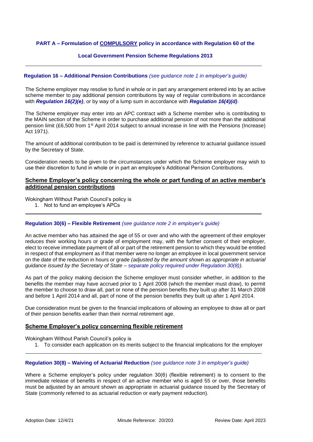#### **PART A – Formulation of COMPULSORY policy in accordance with Regulation 60 of the**

#### **Local Government Pension Scheme Regulations 2013**

#### **Regulation 16 – Additional Pension Contributions** *(see guidance note 1 in employer's guide)*

The Scheme employer may resolve to fund in whole or in part any arrangement entered into by an active scheme member to pay additional pension contributions by way of regular contributions in accordance with *Regulation 16(2)(e)*, or by way of a lump sum in accordance with *Regulation 16(4)(d)*.

The Scheme employer may enter into an APC contract with a Scheme member who is contributing to the MAIN section of the Scheme in order to purchase additional pension of not more than the additional pension limit (£6,500 from 1st April 2014 subject to annual increase in line with the Pensions (Increase) Act 1971).

The amount of additional contribution to be paid is determined by reference to actuarial guidance issued by the Secretary of State.

Consideration needs to be given to the circumstances under which the Scheme employer may wish to use their discretion to fund in whole or in part an employee's Additional Pension Contributions.

#### **Scheme Employer's policy concerning the whole or part funding of an active member's additional pension contributions**

Wokingham Without Parish Council's policy is

1. Not to fund an employee's APCs

#### **Regulation 30(6) – Flexible Retirement** *(see guidance note 2 in employer's guide)*

An active member who has attained the age of 55 or over and who with the agreement of their employer reduces their working hours or grade of employment may, with the further consent of their employer, elect to receive immediate payment of all or part of the retirement pension to which they would be entitled in respect of that employment as if that member were no longer an employee in local government service on the date of the reduction in hours or grade *(adjusted by the amount shown as appropriate in actuarial guidance issued by the Secretary of State – separate policy required under Regulation 30(8)).*

As part of the policy making decision the Scheme employer must consider whether, in addition to the benefits the member may have accrued prior to 1 April 2008 (which the member must draw), to permit the member to choose to draw all, part or none of the pension benefits they built up after 31 March 2008 and before 1 April 2014 and all, part of none of the pension benefits they built up after 1 April 2014.

Due consideration must be given to the financial implications of allowing an employee to draw all or part of their pension benefits earlier than their normal retirement age.

#### **Scheme Employer's policy concerning flexible retirement**

Wokingham Without Parish Council's policy is

1. To consider each application on its merits subject to the financial implications for the employer

#### **Regulation 30(8) – Waiving of Actuarial Reduction** *(see guidance note 3 in employer's guide)*

Where a Scheme employer's policy under regulation 30(6) (flexible retirement) is to consent to the immediate release of benefits in respect of an active member who is aged 55 or over, those benefits must be adjusted by an amount shown as appropriate in actuarial guidance issued by the Secretary of State (commonly referred to as actuarial reduction or early payment reduction).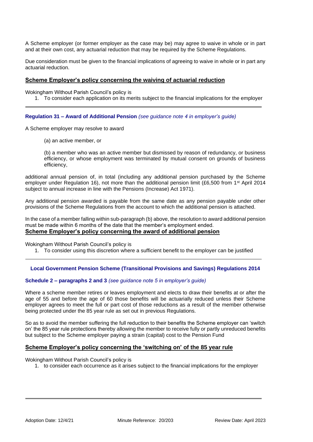A Scheme employer (or former employer as the case may be) may agree to waive in whole or in part and at their own cost, any actuarial reduction that may be required by the Scheme Regulations.

Due consideration must be given to the financial implications of agreeing to waive in whole or in part any actuarial reduction.

#### **Scheme Employer's policy concerning the waiving of actuarial reduction**

Wokingham Without Parish Council's policy is

1. To consider each application on its merits subject to the financial implications for the employer

#### **Regulation 31 – Award of Additional Pension** *(see guidance note 4 in employer's guide)*

A Scheme employer may resolve to award

(a) an active member, or

(b) a member who was an active member but dismissed by reason of redundancy, or business efficiency, or whose employment was terminated by mutual consent on grounds of business efficiency,

additional annual pension of, in total (including any additional pension purchased by the Scheme employer under Regulation 16), not more than the additional pension limit (£6,500 from 1<sup>st</sup> April 2014 subject to annual increase in line with the Pensions (Increase) Act 1971).

Any additional pension awarded is payable from the same date as any pension payable under other provisions of the Scheme Regulations from the account to which the additional pension is attached.

In the case of a member falling within sub-paragraph (b) above, the resolution to award additional pension must be made within 6 months of the date that the member's employment ended. **Scheme Employer's policy concerning the award of additional pension**

Wokingham Without Parish Council's policy is

1. To consider using this discretion where a sufficient benefit to the employer can be justified

#### **Local Government Pension Scheme (Transitional Provisions and Savings) Regulations 2014**

#### **Schedule 2 – paragraphs 2 and 3** *(see guidance note 5 in employer's guide)*

Where a scheme member retires or leaves employment and elects to draw their benefits at or after the age of 55 and before the age of 60 those benefits will be actuarially reduced unless their Scheme employer agrees to meet the full or part cost of those reductions as a result of the member otherwise being protected under the 85 year rule as set out in previous Regulations.

So as to avoid the member suffering the full reduction to their benefits the Scheme employer can 'switch on' the 85 year rule protections thereby allowing the member to receive fully or partly unreduced benefits but subject to the Scheme employer paying a strain (capital) cost to the Pension Fund

#### **Scheme Employer's policy concerning the 'switching on' of the 85 year rule**

Wokingham Without Parish Council's policy is

1. to consider each occurrence as it arises subject to the financial implications for the employer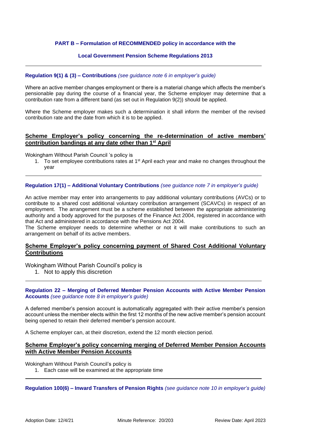#### **PART B – Formulation of RECOMMENDED policy in accordance with the**

#### **Local Government Pension Scheme Regulations 2013**

#### **Regulation 9(1) & (3) – Contributions** *(see guidance note 6 in employer's guide)*

Where an active member changes employment or there is a material change which affects the member's pensionable pay during the course of a financial year, the Scheme employer may determine that a contribution rate from a different band (as set out in Regulation 9(2)) should be applied.

Where the Scheme employer makes such a determination it shall inform the member of the revised contribution rate and the date from which it is to be applied.

#### **Scheme Employer's policy concerning the re-determination of active members' contribution bandings at any date other than 1st April**

Wokingham Without Parish Council 's policy is

1. To set employee contributions rates at 1<sup>st</sup> April each year and make no changes throughout the year

#### **Regulation 17(1) – Additional Voluntary Contributions** *(see guidance note 7 in employer's guide)*

An active member may enter into arrangements to pay additional voluntary contributions (AVCs) or to contribute to a shared cost additional voluntary contribution arrangement (SCAVCs) in respect of an employment. The arrangement must be a scheme established between the appropriate administering authority and a body approved for the purposes of the Finance Act 2004, registered in accordance with that Act and administered in accordance with the Pensions Act 2004.

The Scheme employer needs to determine whether or not it will make contributions to such an arrangement on behalf of its active members.

#### **Scheme Employer's policy concerning payment of Shared Cost Additional Voluntary Contributions**

Wokingham Without Parish Council's policy is

1. Not to apply this discretion

#### **Regulation 22 – Merging of Deferred Member Pension Accounts with Active Member Pension Accounts** *(see guidance note 8 in employer's guide)*

A deferred member's pension account is automatically aggregated with their active member's pension account unless the member elects within the first 12 months of the new active member's pension account being opened to retain their deferred member's pension account.

A Scheme employer can, at their discretion, extend the 12 month election period.

#### **Scheme Employer's policy concerning merging of Deferred Member Pension Accounts with Active Member Pension Accounts**

Wokingham Without Parish Council's policy is

1. Each case will be examined at the appropriate time

**Regulation 100(6) – Inward Transfers of Pension Rights** *(see guidance note 10 in employer's guide)*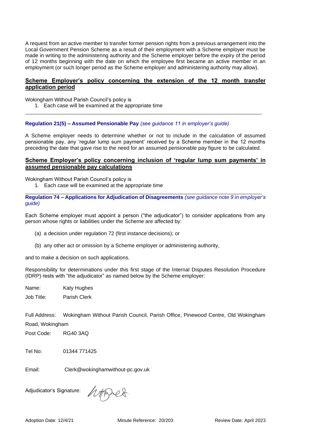A request from an active member to transfer former pension rights from a previous arrangement into the Local Government Pension Scheme as a result of their employment with a Scheme employer must be made in writing to the administering authority and the Scheme employer before the expiry of the period of 12 months beginning with the date on which the employee first became an active member in an employment (or such longer period as the Scheme employer and administering authority may allow).

#### **Scheme Employer's policy concerning the extension of the 12 month transfer application period**

Wokingham Without Parish Council's policy is

1. Each case will be examined at the appropriate time

**Regulation 21(5) – Assumed Pensionable Pay** *(see guidance 11 in employer's guide)*

A Scheme employer needs to determine whether or not to include in the calculation of assumed pensionable pay, any 'regular lump sum payment' received by a Scheme member in the 12 months preceding the date that gave rise to the need for an assumed pensionable pay figure to be calculated.

#### **Scheme Employer's policy concerning inclusion of 'regular lump sum payments' in assumed pensionable pay calculations**

Wokingham Without Parish Council's policy is

1. Each case will be examined at the appropriate time

**Regulation 74 – Applications for Adjudication of Disagreements** *(see guidance note 9 in employer's guide)*

Each Scheme employer must appoint a person ("the adjudicator") to consider applications from any person whose rights or liabilities under the Scheme are affected by:

- (a) a decision under regulation 72 (first instance decisions); or
- (b) any other act or omission by a Scheme employer or administering authority,

and to make a decision on such applications.

Responsibility for determinations under this first stage of the Internal Disputes Resolution Procedure (IDRP) rests with "the adjudicator" as named below by the Scheme employer:

Name: Katy Hughes

Job Title: Parish Clerk

Full Address: Wokingham Without Parish Council, Parish Office, Pinewood Centre, Old Wokingham Road, Wokingham

Post Code: RG40 3AQ

Tel No: 01344 771425

Email: Clerk@wokinghamwithout-pc.gov.uk

Adjudicator's Signature:

htset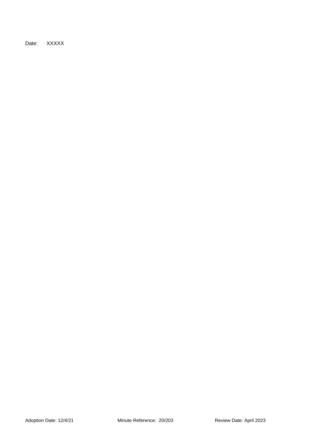Date: XXXXX